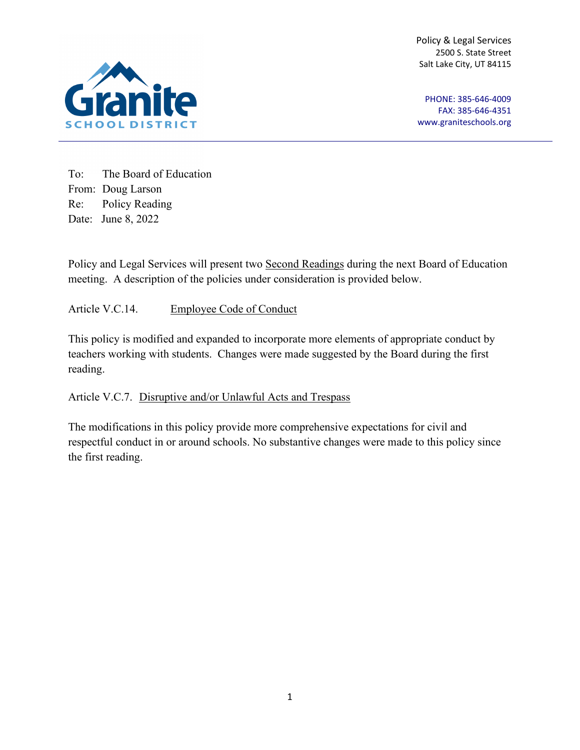Policy & Legal Services 2500 S. State Street Salt Lake City, UT 84115



PHONE: 385-646-4009 FAX: 385-646-4351 [www.graniteschools.org](http://www.graniteschools.org/)

To: The Board of Education From: Doug Larson Re: Policy Reading Date: June 8, 2022

Policy and Legal Services will present two Second Readings during the next Board of Education meeting. A description of the policies under consideration is provided below.

Article V.C.14. Employee Code of Conduct

This policy is modified and expanded to incorporate more elements of appropriate conduct by teachers working with students. Changes were made suggested by the Board during the first reading.

Article V.C.7. Disruptive and/or Unlawful Acts and Trespass

The modifications in this policy provide more comprehensive expectations for civil and respectful conduct in or around schools. No substantive changes were made to this policy since the first reading.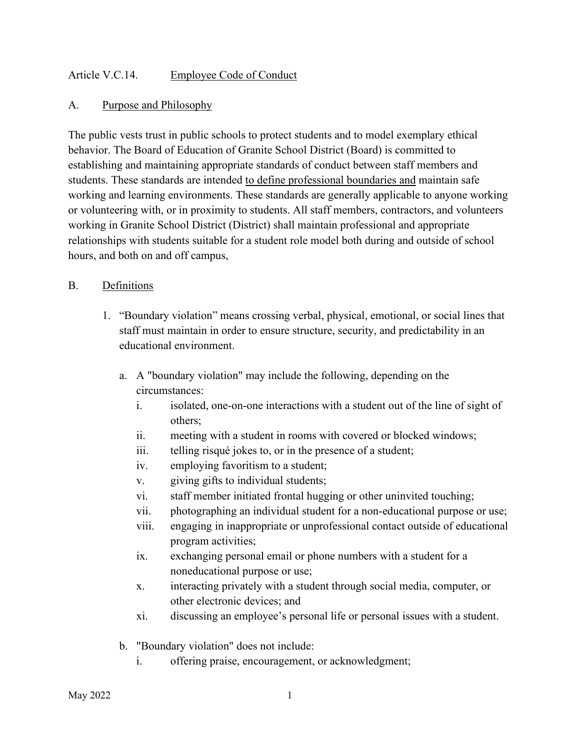# Article V.C.14. Employee Code of Conduct

#### A. Purpose and Philosophy

The public vests trust in public schools to protect students and to model exemplary ethical behavior. The Board of Education of Granite School District (Board) is committed to establishing and maintaining appropriate standards of conduct between staff members and students. These standards are intended to define professional boundaries and maintain safe working and learning environments. These standards are generally applicable to anyone working or volunteering with, or in proximity to students. All staff members, contractors, and volunteers working in Granite School District (District) shall maintain professional and appropriate relationships with students suitable for a student role model both during and outside of school hours, and both on and off campus,

### B. Definitions

- 1. "Boundary violation" means crossing verbal, physical, emotional, or social lines that staff must maintain in order to ensure structure, security, and predictability in an educational environment.
	- a. A "boundary violation" may include the following, depending on the circumstances:
		- i. isolated, one-on-one interactions with a student out of the line of sight of others;
		- ii. meeting with a student in rooms with covered or blocked windows;
		- iii. telling risqué jokes to, or in the presence of a student;
		- iv. employing favoritism to a student;
		- v. giving gifts to individual students;
		- vi. staff member initiated frontal hugging or other uninvited touching;
		- vii. photographing an individual student for a non-educational purpose or use;
		- viii. engaging in inappropriate or unprofessional contact outside of educational program activities;
		- ix. exchanging personal email or phone numbers with a student for a noneducational purpose or use;
		- x. interacting privately with a student through social media, computer, or other electronic devices; and
		- xi. discussing an employee's personal life or personal issues with a student.
	- b. "Boundary violation" does not include:
		- i. offering praise, encouragement, or acknowledgment;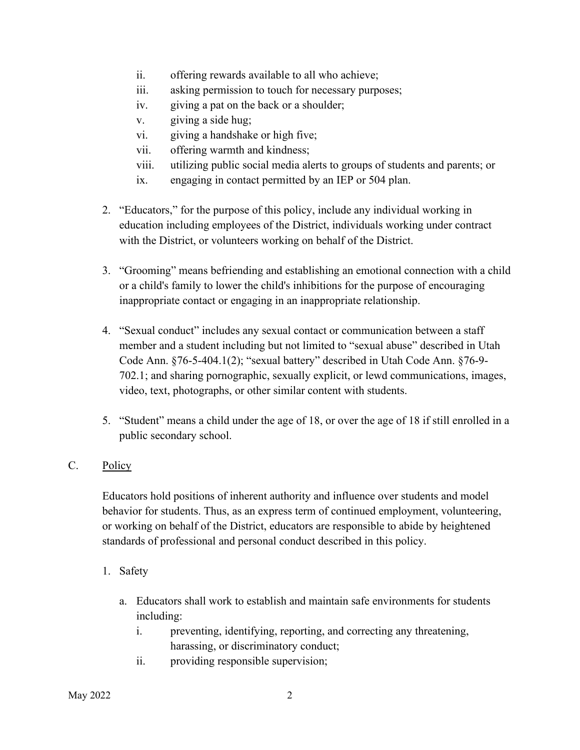- ii. offering rewards available to all who achieve;
- iii. asking permission to touch for necessary purposes;
- iv. giving a pat on the back or a shoulder;
- v. giving a side hug;
- vi. giving a handshake or high five;
- vii. offering warmth and kindness;
- viii. utilizing public social media alerts to groups of students and parents; or
- ix. engaging in contact permitted by an IEP or 504 plan.
- 2. "Educators," for the purpose of this policy, include any individual working in education including employees of the District, individuals working under contract with the District, or volunteers working on behalf of the District.
- 3. "Grooming" means befriending and establishing an emotional connection with a child or a child's family to lower the child's inhibitions for the purpose of encouraging inappropriate contact or engaging in an inappropriate relationship.
- 4. "Sexual conduct" includes any sexual contact or communication between a staff member and a student including but not limited to "sexual abuse" described in Utah Code Ann. §76-5-404.1(2); "sexual battery" described in Utah Code Ann. §76-9- 702.1; and sharing pornographic, sexually explicit, or lewd communications, images, video, text, photographs, or other similar content with students.
- 5. "Student" means a child under the age of 18, or over the age of 18 if still enrolled in a public secondary school.

# C. Policy

Educators hold positions of inherent authority and influence over students and model behavior for students. Thus, as an express term of continued employment, volunteering, or working on behalf of the District, educators are responsible to abide by heightened standards of professional and personal conduct described in this policy.

- 1. Safety
	- a. Educators shall work to establish and maintain safe environments for students including:
		- i. preventing, identifying, reporting, and correcting any threatening, harassing, or discriminatory conduct;
		- ii. providing responsible supervision;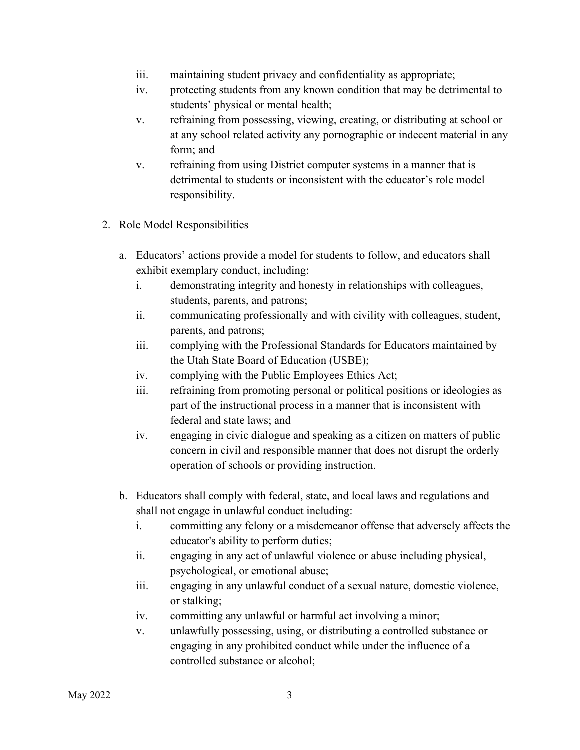- iii. maintaining student privacy and confidentiality as appropriate;
- iv. protecting students from any known condition that may be detrimental to students' physical or mental health;
- v. refraining from possessing, viewing, creating, or distributing at school or at any school related activity any pornographic or indecent material in any form; and
- v. refraining from using District computer systems in a manner that is detrimental to students or inconsistent with the educator's role model responsibility.
- 2. Role Model Responsibilities
	- a. Educators' actions provide a model for students to follow, and educators shall exhibit exemplary conduct, including:
		- i. demonstrating integrity and honesty in relationships with colleagues, students, parents, and patrons;
		- ii. communicating professionally and with civility with colleagues, student, parents, and patrons;
		- iii. complying with the Professional Standards for Educators maintained by the Utah State Board of Education (USBE);
		- iv. complying with the Public Employees Ethics Act;
		- iii. refraining from promoting personal or political positions or ideologies as part of the instructional process in a manner that is inconsistent with federal and state laws; and
		- iv. engaging in civic dialogue and speaking as a citizen on matters of public concern in civil and responsible manner that does not disrupt the orderly operation of schools or providing instruction.
	- b. Educators shall comply with federal, state, and local laws and regulations and shall not engage in unlawful conduct including:
		- i. committing any felony or a misdemeanor offense that adversely affects the educator's ability to perform duties;
		- ii. engaging in any act of unlawful violence or abuse including physical, psychological, or emotional abuse;
		- iii. engaging in any unlawful conduct of a sexual nature, domestic violence, or stalking;
		- iv. committing any unlawful or harmful act involving a minor;
		- v. unlawfully possessing, using, or distributing a controlled substance or engaging in any prohibited conduct while under the influence of a controlled substance or alcohol;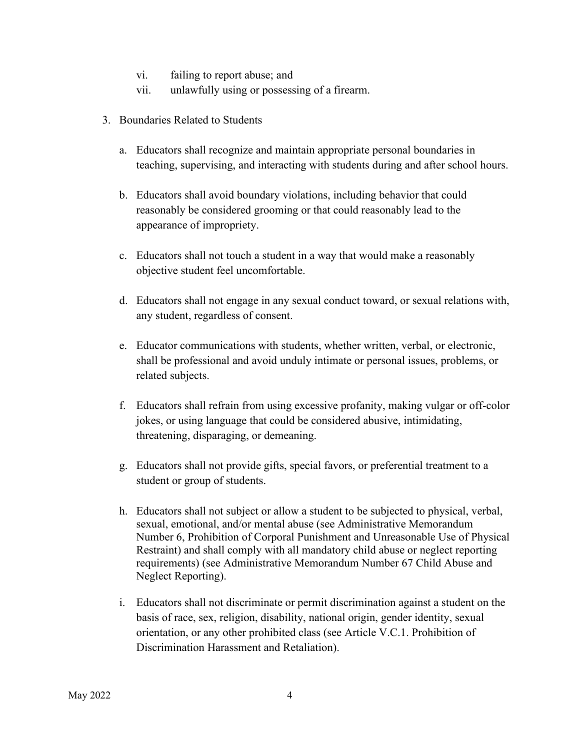- vi. failing to report abuse; and
- vii. unlawfully using or possessing of a firearm.
- 3. Boundaries Related to Students
	- a. Educators shall recognize and maintain appropriate personal boundaries in teaching, supervising, and interacting with students during and after school hours.
	- b. Educators shall avoid boundary violations, including behavior that could reasonably be considered grooming or that could reasonably lead to the appearance of impropriety.
	- c. Educators shall not touch a student in a way that would make a reasonably objective student feel uncomfortable.
	- d. Educators shall not engage in any sexual conduct toward, or sexual relations with, any student, regardless of consent.
	- e. Educator communications with students, whether written, verbal, or electronic, shall be professional and avoid unduly intimate or personal issues, problems, or related subjects.
	- f. Educators shall refrain from using excessive profanity, making vulgar or off-color jokes, or using language that could be considered abusive, intimidating, threatening, disparaging, or demeaning.
	- g. Educators shall not provide gifts, special favors, or preferential treatment to a student or group of students.
	- h. Educators shall not subject or allow a student to be subjected to physical, verbal, sexual, emotional, and/or mental abuse (see Administrative Memorandum Number 6, Prohibition of Corporal Punishment and Unreasonable Use of Physical Restraint) and shall comply with all mandatory child abuse or neglect reporting requirements) (see Administrative Memorandum Number 67 Child Abuse and Neglect Reporting).
	- i. Educators shall not discriminate or permit discrimination against a student on the basis of race, sex, religion, disability, national origin, gender identity, sexual orientation, or any other prohibited class (see Article V.C.1. Prohibition of Discrimination Harassment and Retaliation).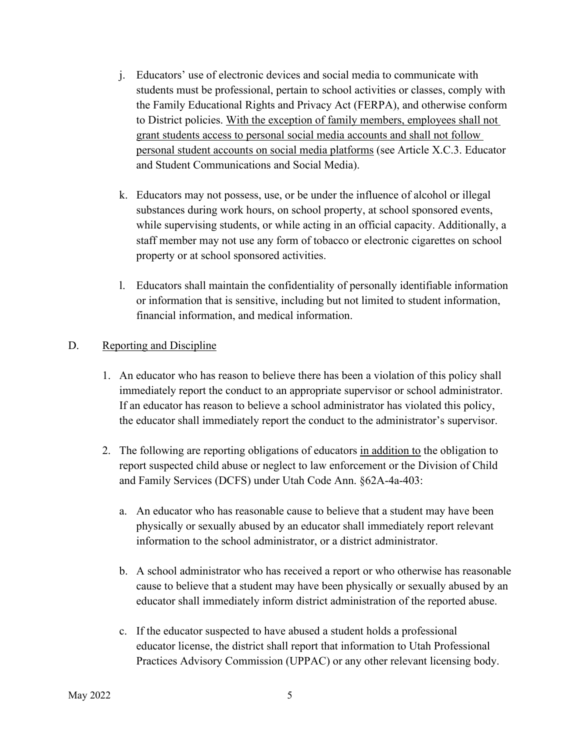- j. Educators' use of electronic devices and social media to communicate with students must be professional, pertain to school activities or classes, comply with the Family Educational Rights and Privacy Act (FERPA), and otherwise conform to District policies. With the exception of family members, employees shall not grant students access to personal social media accounts and shall not follow personal student accounts on social media platforms (see Article X.C.3. Educator and Student Communications and Social Media).
- k. Educators may not possess, use, or be under the influence of alcohol or illegal substances during work hours, on school property, at school sponsored events, while supervising students, or while acting in an official capacity. Additionally, a staff member may not use any form of tobacco or electronic cigarettes on school property or at school sponsored activities.
- l. Educators shall maintain the confidentiality of personally identifiable information or information that is sensitive, including but not limited to student information, financial information, and medical information.

# D. Reporting and Discipline

- 1. An educator who has reason to believe there has been a violation of this policy shall immediately report the conduct to an appropriate supervisor or school administrator. If an educator has reason to believe a school administrator has violated this policy, the educator shall immediately report the conduct to the administrator's supervisor.
- 2. The following are reporting obligations of educators in addition to the obligation to report suspected child abuse or neglect to law enforcement or the Division of Child and Family Services (DCFS) under Utah Code Ann. §62A-4a-403:
	- a. An educator who has reasonable cause to believe that a student may have been physically or sexually abused by an educator shall immediately report relevant information to the school administrator, or a district administrator.
	- b. A school administrator who has received a report or who otherwise has reasonable cause to believe that a student may have been physically or sexually abused by an educator shall immediately inform district administration of the reported abuse.
	- c. If the educator suspected to have abused a student holds a professional educator license, the district shall report that information to Utah Professional Practices Advisory Commission (UPPAC) or any other relevant licensing body.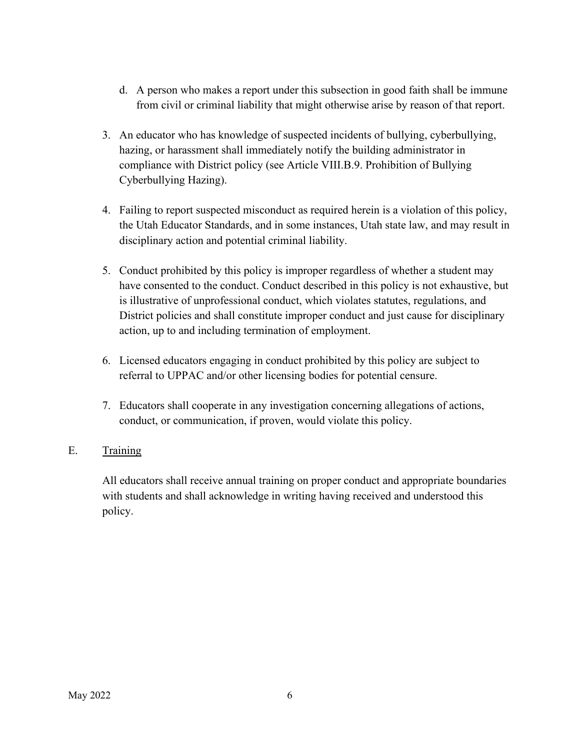- d. A person who makes a report under this subsection in good faith shall be immune from civil or criminal liability that might otherwise arise by reason of that report.
- 3. An educator who has knowledge of suspected incidents of bullying, cyberbullying, hazing, or harassment shall immediately notify the building administrator in compliance with District policy (see Article VIII.B.9. Prohibition of Bullying Cyberbullying Hazing).
- 4. Failing to report suspected misconduct as required herein is a violation of this policy, the Utah Educator Standards, and in some instances, Utah state law, and may result in disciplinary action and potential criminal liability.
- 5. Conduct prohibited by this policy is improper regardless of whether a student may have consented to the conduct. Conduct described in this policy is not exhaustive, but is illustrative of unprofessional conduct, which violates statutes, regulations, and District policies and shall constitute improper conduct and just cause for disciplinary action, up to and including termination of employment.
- 6. Licensed educators engaging in conduct prohibited by this policy are subject to referral to UPPAC and/or other licensing bodies for potential censure.
- 7. Educators shall cooperate in any investigation concerning allegations of actions, conduct, or communication, if proven, would violate this policy.

# E. Training

All educators shall receive annual training on proper conduct and appropriate boundaries with students and shall acknowledge in writing having received and understood this policy.